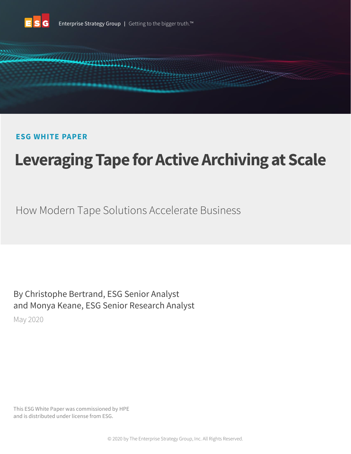



# **ESG WHITE PAPER**

# **Leveraging Tape for Active Archiving at Scale**

How Modern Tape Solutions Accelerate Business

By Christophe Bertrand, ESG Senior Analyst and Monya Keane, ESG Senior Research Analyst

May 2020

This ESG White Paper was commissioned by HPE and is distributed under license from ESG.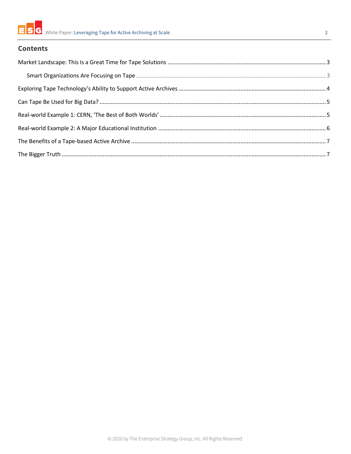

#### **Contents**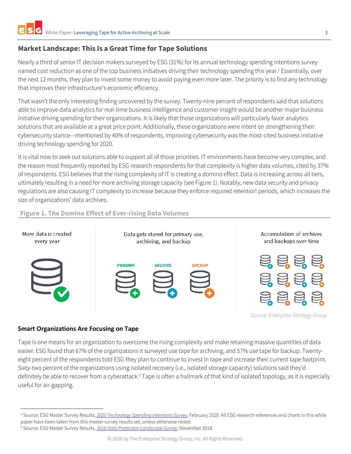### <span id="page-2-0"></span>**Market Landscape: This Is a Great Time for Tape Solutions**

**Figure 1. The Domino Effect of Ever-rising Data Volumes**

Nearly a third of senior IT decision makers surveyed by ESG (31%) for its annual technology spending intentions survey named cost reduction as one of the top business initiatives driving their technology spending this year.<sup>1</sup> Essentially, over the next 12 months, they plan to invest some money to avoid paying even more later. The priority is to find any technology that improves their infrastructure's economic efficiency.

That wasn't the only interesting finding uncovered by the survey. Twenty-nine percent of respondents said that solutions able to improve data analytics for real-time business intelligence and customer insight would be another major business initiative driving spending for their organizations. It is likely that those organizations will particularly favor analytics solutions that are available at a great price point. Additionally, these organizations were intent on strengthening their cybersecurity stance—mentioned by 40% of respondents, improving cybersecurity was the most-cited business initiative driving technology spending for 2020.

It is vital now to seek out solutions able to support all of those priorities. IT environments have become very complex, and the reason most frequently reported by ESG research respondents for that complexity is higher data volumes, cited by 37% of respondents. ESG believes that the rising complexity of IT is creating a domino effect. Data is increasing across all tiers, ultimately resulting in a need for more archiving storage capacity (see Figure 1). Notably, new data security and privacy regulations are also causing IT complexity to increase because they enforce required retention periods, which increases the size of organizations' data archives.

# More data is created Accumulation of archives Data gets stored for primary use, and backups over time every year archiving, and backup **PRIMARY ARCHIVE RACKUP**

*Source: Enterprise Strategy Group*

#### <span id="page-2-1"></span>**Smart Organizations Are Focusing on Tape**

Tape is one means for an organization to overcome the rising complexity and make retaining massive quantities of data easier. ESG found that 67% of the organizations it surveyed use tape for archiving, and 57% use tape for backup. Twentyeight percent of the respondents told ESG they plan to continue to invest in tape and increase their current tape footprint. Sixty-two percent of the organizations using isolated recovery (i.e., isolated storage capacity) solutions said they'd definitely be able to recover from a cyberattack.<sup>2</sup> Tape is often a hallmark of that kind of isolated topology, as it is especially useful for air-gapping.

<sup>1</sup> Source: ESG Master Survey Results, *[2020 Technology Spending intentions Survey](https://research.esg-global.com/reportaction/2020TechnologySpendingIntentions/Toc)*, February 2020. All ESG research references and charts in this white paper have been taken from this master survey results set, unless otherwise noted.

<sup>2</sup> Source: ESG Master Survey Results, *[2018 Data Protection Landscape Survey](https://research.esg-global.com/reportaction/2018dataprotectionlandscape/Toc)*, November 2018.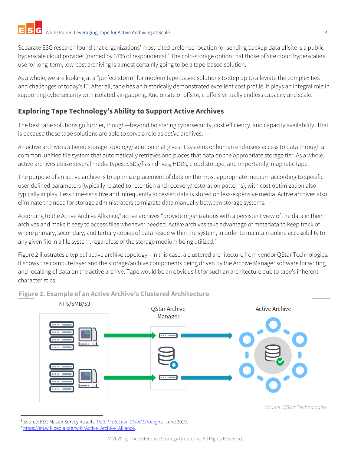Separate ESG research found that organizations' most-cited preferred location for sending backup data offsite is a public hyperscale cloud provider (named by 37% of respondents).<sup>3</sup> The cold-storage option that those offsite cloud hyperscalers use for long-term, low-cost archiving is almost certainly going to be a tape-based solution.

As a whole, we are looking at a "perfect storm" for modern tape-based solutions to step up to alleviate the complexities and challenges of today's IT. After all, tape has an historically demonstrated excellent cost profile. It plays an integral role in supporting cybersecurity with isolated air-gapping. And onsite or offsite, it offers virtually endless capacity and scale.

### <span id="page-3-0"></span>**Exploring Tape Technology's Ability to Support Active Archives**

The best tape solutions go further, though—beyond bolstering cybersecurity, cost efficiency, and capacity availability. That is because those tape solutions are able to serve a role as *active* archives.

An active archive is a tiered storage topology/solution that gives IT systems or human end-users access to data through a common, unified file system that automatically retrieves and places that data on the appropriate storage tier. As a whole, active archives utilize several media types: SSDs/flash drives, HDDs, cloud storage, and importantly, magnetic tape.

The purpose of an active archive is to optimize placement of data on the most appropriate medium according to specific user-defined parameters (typically related to retention and recovery/restoration patterns), with cost optimization also typically in play. Less time-sensitive and infrequently accessed data is stored on less-expensive media. Active archives also eliminate the need for storage administrators to migrate data manually between storage systems.

According to the Active Archive Alliance,<sup>4</sup> active archives "provide organizations with a persistent view of the data in their archives and make it easy to access files whenever needed. Active archives take advantage of metadata to keep track of where primary, secondary, and tertiary copies of data reside within the system, in order to maintain online accessibility to any given file in a file system, regardless of the storage medium being utilized."

Figure 2 illustrates a typical active archive topology—in this case, a clustered architecture from vendor QStar Technologies. It shows the compute layer and the storage/archive components being driven by the Archive Manager software for writing and recalling of data on the active archive. Tape would be an obvious fit for such an architecture due to tape's inherent characteristics.

**Figure 2. Example of an Active Archive's Clustered Architecture**



<sup>3</sup> Source: ESG Master Survey Results, *[Data Protection Cloud Strategies](https://research.esg-global.com/reportaction/DataProtectionCloudMSR19/Toc)*, June 2019.

<sup>4</sup> [https://en.wikipedia.org/wiki/Active\\_Archive\\_Alliance.](https://en.wikipedia.org/wiki/Active_Archive_Alliance)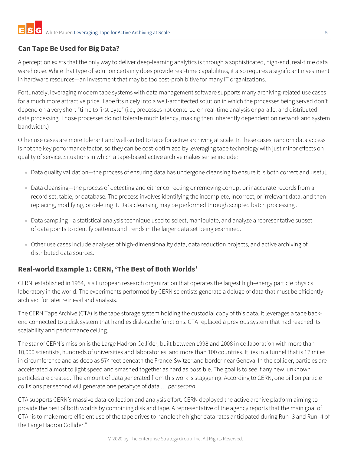## <span id="page-4-0"></span>**Can Tape Be Used for Big Data?**

A perception exists that the only way to deliver deep-learning analytics is through a sophisticated, high-end, real-time data warehouse. While that type of solution certainly does provide real-time capabilities, it also requires a significant investment in hardware resources—an investment that may be too cost-prohibitive for many IT organizations.

Fortunately, leveraging modern tape systems with data management software supports many archiving-related use cases for a much more attractive price. Tape fits nicely into a well-architected solution in which the processes being served don't depend on a very short "time to first byte" (i.e., processes not centered on real-time analysis or parallel and distributed data processing. Those processes do not tolerate much latency, making then inherently dependent on network and system bandwidth.)

Other use cases are more tolerant and well-suited to tape for active archiving at scale. In these cases, random data access is not the key performance factor, so they can be cost-optimized by leveraging tape technology with just minor effects on quality of service. Situations in which a tape-based active archive makes sense include:

- Data quality validation—the process of ensuring data has undergone cleansing to ensure it is both correct and useful.
- Data cleansing—the process of detecting and either correcting or removing corrupt or inaccurate [records](https://en.wikipedia.org/wiki/Storage_record) from a record set, [table,](https://en.wikipedia.org/wiki/Table_(database)) or [database.](https://en.wikipedia.org/wiki/Database) The process involves identifying the incomplete, incorrect, or irrelevant data, and then replacing, modifying, or deleting it. Data cleansing may be performed through scripted [batch processing](https://en.wikipedia.org/wiki/Batch_processing) .
- Data sampling—a statistical analysis technique used to select, manipulate, and analyze a representative subset of data points to identify patterns and trends in the larger data set being examined.
- Other use cases include analyses of high-dimensionality data, data reduction projects, and active archiving of distributed data sources.

#### <span id="page-4-1"></span>**Real-world Example 1: CERN, 'The Best of Both Worlds'**

CERN, established in 1954, is a European research organization that operates the largest high-energy particle physics laboratory in the world. The experiments performed by CERN scientists generate a deluge of data that must be efficiently archived for later retrieval and analysis.

The CERN Tape Archive (CTA) is the tape storage system holding the custodial copy of this data. It leverages a tape backend connected to a disk system that handles disk-cache functions. CTA replaced a previous system that had reached its scalability and performance ceiling.

The star of CERN's mission is the Large Hadron Collider, built between 1998 and 2008 in collaboration with more than 10,000 scientists, hundreds of universities and laboratories, and more than 100 countries. It lies in a tunnel that is 17 miles in circumference and as deep as 574 feet beneath the France-Switzerland border near Geneva. In the collider, particles are accelerated almost to light speed and smashed together as hard as possible. The goal is to see if any new, unknown particles are created. The amount of data generated from this work is staggering. According to CERN, one billion particle collisions per second will generate one petabyte of data … *per second*.

CTA supports CERN's massive data-collection and analysis effort. CERN deployed the active archive platform aiming to provide the best of both worlds by combining disk and tape. A representative of the agency reports that the main goal of CTA "is to make more efficient use of the tape drives to handle the higher data rates anticipated during Run–3 and Run–4 of the Large Hadron Collider."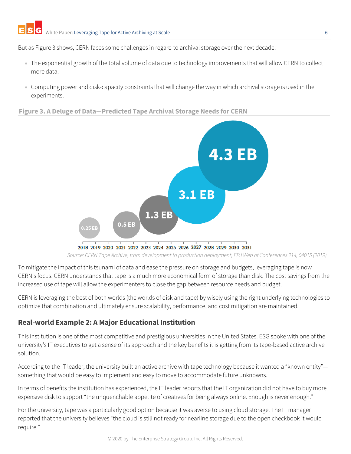But as Figure 3 shows, CERN faces some challenges in regard to archival storage over the next decade:

- The exponential growth of the total volume of data due to technology improvements that will allow CERN to collect more data.
- Computing power and disk-capacity constraints that will change the way in which archival storage is used in the experiments.

#### **Figure 3. A Deluge of Data—Predicted Tape Archival Storage Needs for CERN**



*Source: CERN Tape Archive, from development to production deployment, EPJ Web of Conferences 214, 04015 (2019)*

To mitigate the impact of this tsunami of data and ease the pressure on storage and budgets, leveraging tape is now CERN's focus. CERN understands that tape is a much more economical form of storage than disk. The cost savings from the increased use of tape will allow the experimenters to close the gap between resource needs and budget.

CERN is leveraging the best of both worlds (the worlds of disk and tape) by wisely using the right underlying technologies to optimize that combination and ultimately ensure scalability, performance, and cost mitigation are maintained.

#### <span id="page-5-0"></span>**Real-world Example 2: A Major Educational Institution**

This institution is one of the most competitive and prestigious universities in the United States. ESG spoke with one of the university's IT executives to get a sense of its approach and the key benefits it is getting from its tape-based active archive solution.

According to the IT leader, the university built an active archive with tape technology because it wanted a "known entity" something that would be easy to implement and easy to move to accommodate future unknowns.

In terms of benefits the institution has experienced, the IT leader reports that the IT organization did not have to buy more expensive disk to support "the unquenchable appetite of creatives for being always online. Enough is never enough."

For the university, tape was a particularly good option because it was averse to using cloud storage. The IT manager reported that the university believes "the cloud is still not ready for nearline storage due to the open checkbook it would require."